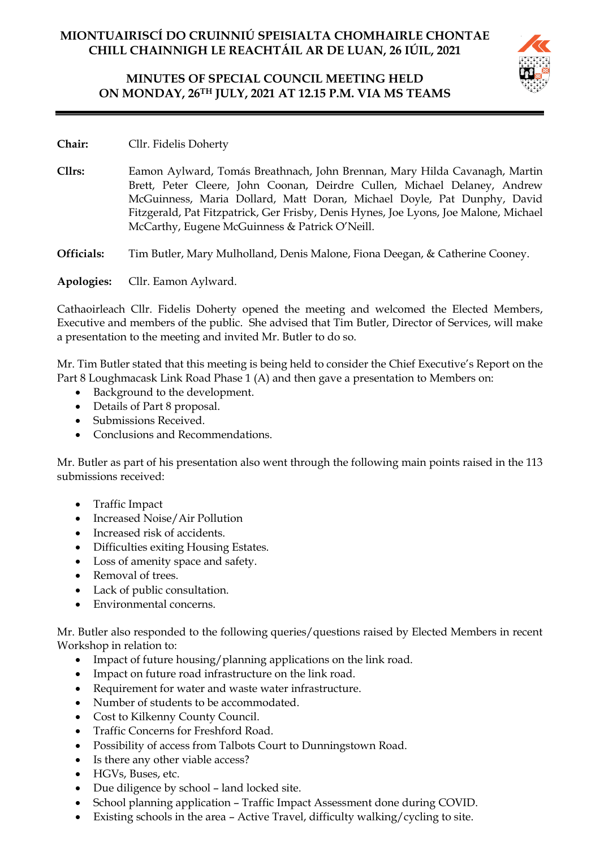# **MINUTES OF SPECIAL COUNCIL MEETING HELD ON MONDAY, 26TH JULY, 2021 AT 12.15 P.M. VIA MS TEAMS**



**Chair:** Cllr. Fidelis Doherty

**Cllrs:** Eamon Aylward, Tomás Breathnach, John Brennan, Mary Hilda Cavanagh, Martin Brett, Peter Cleere, John Coonan, Deirdre Cullen, Michael Delaney, Andrew McGuinness, Maria Dollard, Matt Doran, Michael Doyle, Pat Dunphy, David Fitzgerald, Pat Fitzpatrick, Ger Frisby, Denis Hynes, Joe Lyons, Joe Malone, Michael McCarthy, Eugene McGuinness & Patrick O'Neill.

**Officials:** Tim Butler, Mary Mulholland, Denis Malone, Fiona Deegan, & Catherine Cooney.

**Apologies:** Cllr. Eamon Aylward.

Cathaoirleach Cllr. Fidelis Doherty opened the meeting and welcomed the Elected Members, Executive and members of the public. She advised that Tim Butler, Director of Services, will make a presentation to the meeting and invited Mr. Butler to do so.

Mr. Tim Butler stated that this meeting is being held to consider the Chief Executive's Report on the Part 8 Loughmacask Link Road Phase 1 (A) and then gave a presentation to Members on:

- Background to the development.
- Details of Part 8 proposal.
- Submissions Received.
- Conclusions and Recommendations.

Mr. Butler as part of his presentation also went through the following main points raised in the 113 submissions received:

- Traffic Impact
- Increased Noise/Air Pollution
- Increased risk of accidents.
- Difficulties exiting Housing Estates.
- Loss of amenity space and safety.
- Removal of trees.
- Lack of public consultation.
- Environmental concerns.

Mr. Butler also responded to the following queries/questions raised by Elected Members in recent Workshop in relation to:

- Impact of future housing/planning applications on the link road.
- Impact on future road infrastructure on the link road.
- Requirement for water and waste water infrastructure.
- Number of students to be accommodated.
- Cost to Kilkenny County Council.
- Traffic Concerns for Freshford Road.
- Possibility of access from Talbots Court to Dunningstown Road.
- Is there any other viable access?
- HGVs, Buses, etc.
- Due diligence by school land locked site.
- School planning application Traffic Impact Assessment done during COVID.
- Existing schools in the area Active Travel, difficulty walking/cycling to site.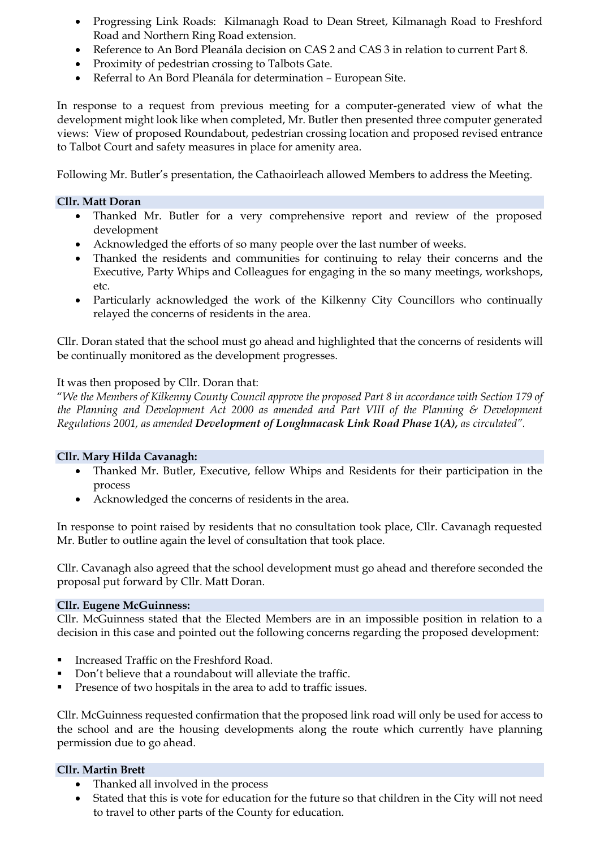- Progressing Link Roads: Kilmanagh Road to Dean Street, Kilmanagh Road to Freshford Road and Northern Ring Road extension.
- Reference to An Bord Pleanála decision on CAS 2 and CAS 3 in relation to current Part 8.
- Proximity of pedestrian crossing to Talbots Gate.
- Referral to An Bord Pleanála for determination European Site.

In response to a request from previous meeting for a computer-generated view of what the development might look like when completed, Mr. Butler then presented three computer generated views: View of proposed Roundabout, pedestrian crossing location and proposed revised entrance to Talbot Court and safety measures in place for amenity area.

Following Mr. Butler's presentation, the Cathaoirleach allowed Members to address the Meeting.

## **Cllr. Matt Doran**

- Thanked Mr. Butler for a very comprehensive report and review of the proposed development
- Acknowledged the efforts of so many people over the last number of weeks.
- Thanked the residents and communities for continuing to relay their concerns and the Executive, Party Whips and Colleagues for engaging in the so many meetings, workshops, etc.
- Particularly acknowledged the work of the Kilkenny City Councillors who continually relayed the concerns of residents in the area.

Cllr. Doran stated that the school must go ahead and highlighted that the concerns of residents will be continually monitored as the development progresses.

It was then proposed by Cllr. Doran that:

"*We the Members of Kilkenny County Council approve the proposed Part 8 in accordance with Section 179 of the Planning and Development Act 2000 as amended and Part VIII of the Planning & Development Regulations 2001, as amended Development of Loughmacask Link Road Phase 1(A), as circulated".*

## **Cllr. Mary Hilda Cavanagh:**

- Thanked Mr. Butler, Executive, fellow Whips and Residents for their participation in the process
- Acknowledged the concerns of residents in the area.

In response to point raised by residents that no consultation took place, Cllr. Cavanagh requested Mr. Butler to outline again the level of consultation that took place.

Cllr. Cavanagh also agreed that the school development must go ahead and therefore seconded the proposal put forward by Cllr. Matt Doran.

## **Cllr. Eugene McGuinness:**

Cllr. McGuinness stated that the Elected Members are in an impossible position in relation to a decision in this case and pointed out the following concerns regarding the proposed development:

- Increased Traffic on the Freshford Road.
- Don't believe that a roundabout will alleviate the traffic.
- **•** Presence of two hospitals in the area to add to traffic issues.

Cllr. McGuinness requested confirmation that the proposed link road will only be used for access to the school and are the housing developments along the route which currently have planning permission due to go ahead.

## **Cllr. Martin Brett**

- Thanked all involved in the process
- Stated that this is vote for education for the future so that children in the City will not need to travel to other parts of the County for education.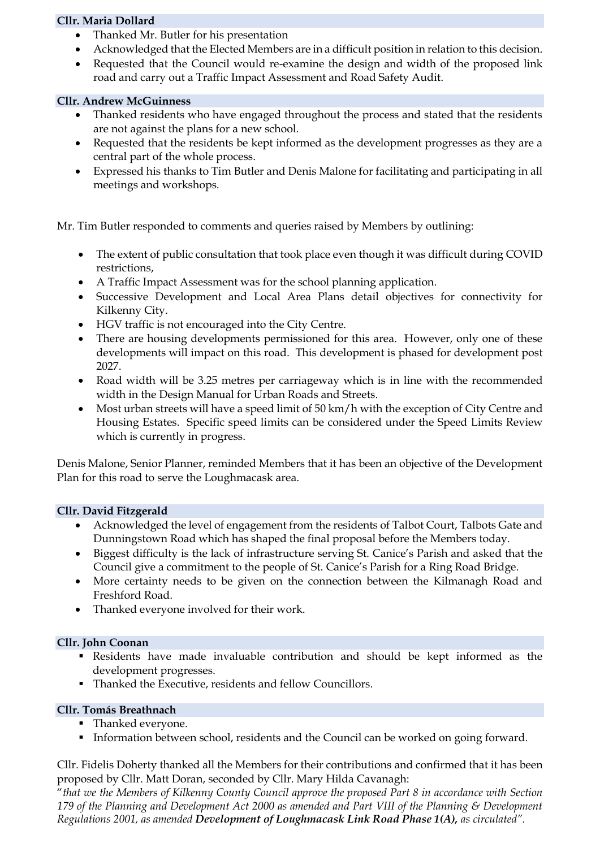## **Cllr. Maria Dollard**

- Thanked Mr. Butler for his presentation
- Acknowledged that the Elected Members are in a difficult position in relation to this decision.
- Requested that the Council would re-examine the design and width of the proposed link road and carry out a Traffic Impact Assessment and Road Safety Audit.

## **Cllr. Andrew McGuinness**

- Thanked residents who have engaged throughout the process and stated that the residents are not against the plans for a new school.
- Requested that the residents be kept informed as the development progresses as they are a central part of the whole process.
- Expressed his thanks to Tim Butler and Denis Malone for facilitating and participating in all meetings and workshops.

Mr. Tim Butler responded to comments and queries raised by Members by outlining:

- The extent of public consultation that took place even though it was difficult during COVID restrictions,
- A Traffic Impact Assessment was for the school planning application.
- Successive Development and Local Area Plans detail objectives for connectivity for Kilkenny City.
- HGV traffic is not encouraged into the City Centre.
- There are housing developments permissioned for this area. However, only one of these developments will impact on this road. This development is phased for development post 2027.
- Road width will be 3.25 metres per carriageway which is in line with the recommended width in the Design Manual for Urban Roads and Streets.
- Most urban streets will have a speed limit of 50 km/h with the exception of City Centre and Housing Estates. Specific speed limits can be considered under the Speed Limits Review which is currently in progress.

Denis Malone, Senior Planner, reminded Members that it has been an objective of the Development Plan for this road to serve the Loughmacask area.

## **Cllr. David Fitzgerald**

- Acknowledged the level of engagement from the residents of Talbot Court, Talbots Gate and Dunningstown Road which has shaped the final proposal before the Members today.
- Biggest difficulty is the lack of infrastructure serving St. Canice's Parish and asked that the Council give a commitment to the people of St. Canice's Parish for a Ring Road Bridge.
- More certainty needs to be given on the connection between the Kilmanagh Road and Freshford Road.
- Thanked everyone involved for their work.

## **Cllr. John Coonan**

- Residents have made invaluable contribution and should be kept informed as the development progresses.
- Thanked the Executive, residents and fellow Councillors.

## **Cllr. Tomás Breathnach**

- **•** Thanked everyone.
- **•** Information between school, residents and the Council can be worked on going forward.

Cllr. Fidelis Doherty thanked all the Members for their contributions and confirmed that it has been proposed by Cllr. Matt Doran, seconded by Cllr. Mary Hilda Cavanagh:

"*that we the Members of Kilkenny County Council approve the proposed Part 8 in accordance with Section 179 of the Planning and Development Act 2000 as amended and Part VIII of the Planning & Development Regulations 2001, as amended Development of Loughmacask Link Road Phase 1(A), as circulated".*